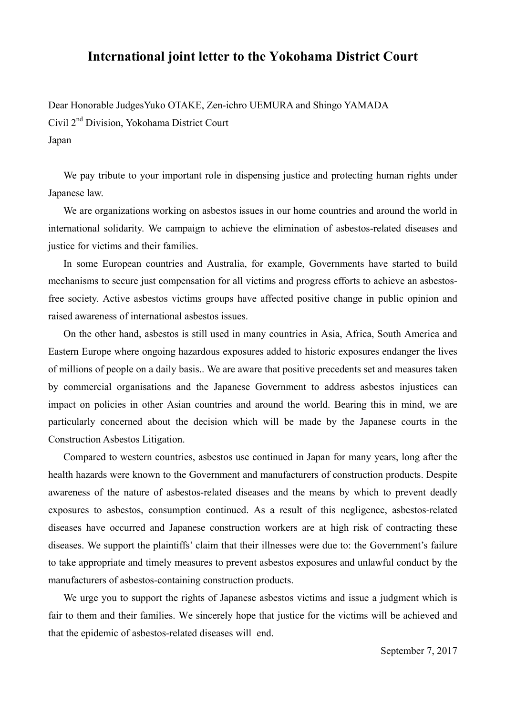## **International joint letter to the Yokohama District Court**

Dear Honorable JudgesYuko OTAKE, Zen-ichro UEMURA and Shingo YAMADA Civil 2nd Division, Yokohama District Court Japan

We pay tribute to your important role in dispensing justice and protecting human rights under Japanese law.

We are organizations working on asbestos issues in our home countries and around the world in international solidarity. We campaign to achieve the elimination of asbestos-related diseases and justice for victims and their families.

In some European countries and Australia, for example, Governments have started to build mechanisms to secure just compensation for all victims and progress efforts to achieve an asbestosfree society. Active asbestos victims groups have affected positive change in public opinion and raised awareness of international asbestos issues.

On the other hand, asbestos is still used in many countries in Asia, Africa, South America and Eastern Europe where ongoing hazardous exposures added to historic exposures endanger the lives of millions of people on a daily basis.. We are aware that positive precedents set and measures taken by commercial organisations and the Japanese Government to address asbestos injustices can impact on policies in other Asian countries and around the world. Bearing this in mind, we are particularly concerned about the decision which will be made by the Japanese courts in the Construction Asbestos Litigation.

Compared to western countries, asbestos use continued in Japan for many years, long after the health hazards were known to the Government and manufacturers of construction products. Despite awareness of the nature of asbestos-related diseases and the means by which to prevent deadly exposures to asbestos, consumption continued. As a result of this negligence, asbestos-related diseases have occurred and Japanese construction workers are at high risk of contracting these diseases. We support the plaintiffs' claim that their illnesses were due to: the Government's failure to take appropriate and timely measures to prevent asbestos exposures and unlawful conduct by the manufacturers of asbestos-containing construction products.

We urge you to support the rights of Japanese asbestos victims and issue a judgment which is fair to them and their families. We sincerely hope that justice for the victims will be achieved and that the epidemic of asbestos-related diseases will end.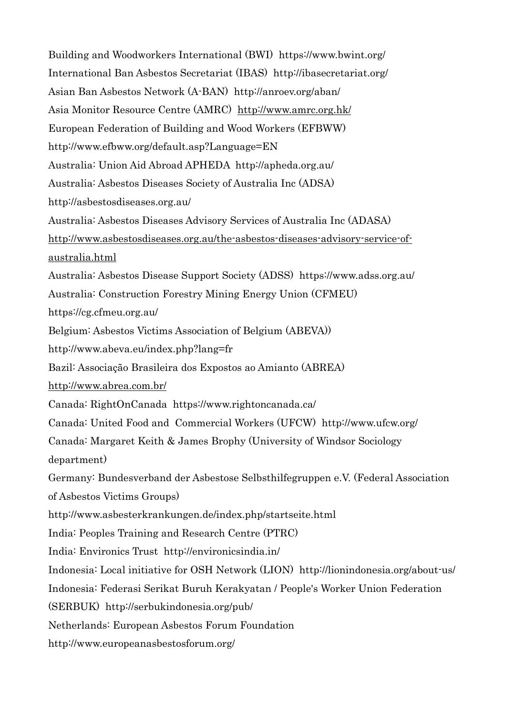Building and Woodworkers International (BWI) https://www.bwint.org/ International Ban Asbestos Secretariat (IBAS) http://ibasecretariat.org/ Asian Ban Asbestos Network (A-BAN) http://anroev.org/aban/ Asia Monitor Resource Centre (AMRC) http://www.amrc.org.hk/ European Federation of Building and Wood Workers (EFBWW) http://www.efbww.org/default.asp?Language=EN Australia: Union Aid Abroad APHEDA http://apheda.org.au/ Australia: Asbestos Diseases Society of Australia Inc (ADSA) http://asbestosdiseases.org.au/ Australia: Asbestos Diseases Advisory Services of Australia Inc (ADASA) http://www.asbestosdiseases.org.au/the-asbestos-diseases-advisory-service-ofaustralia.html Australia: Asbestos Disease Support Society (ADSS) https://www.adss.org.au/ Australia: Construction Forestry Mining Energy Union (CFMEU) https://cg.cfmeu.org.au/ Belgium: Asbestos Victims Association of Belgium (ABEVA)) http://www.abeva.eu/index.php?lang=fr Bazil: Associação Brasileira dos Expostos ao Amianto (ABREA) http://www.abrea.com.br/ Canada: RightOnCanada https://www.rightoncanada.ca/ Canada: United Food and Commercial Workers (UFCW) http://www.ufcw.org/ Canada: Margaret Keith & James Brophy (University of Windsor Sociology department) Germany: Bundesverband der Asbestose Selbsthilfegruppen e.V. (Federal Association of Asbestos Victims Groups) http://www.asbesterkrankungen.de/index.php/startseite.html India: Peoples Training and Research Centre (PTRC) India: Environics Trust http://environicsindia.in/ Indonesia: Local initiative for OSH Network (LION) http://lionindonesia.org/about-us/ Indonesia: Federasi Serikat Buruh Kerakyatan / People's Worker Union Federation (SERBUK) http://serbukindonesia.org/pub/ Netherlands: European Asbestos Forum Foundation http://www.europeanasbestosforum.org/